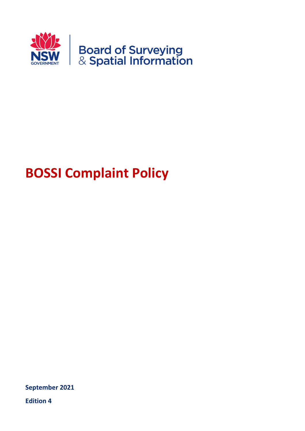

# **BOSSI Complaint Policy**

**September 2021**

**Edition 4**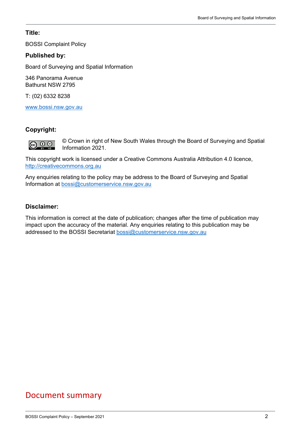#### **Title:**

BOSSI Complaint Policy

#### **Published by:**

Board of Surveying and Spatial Information

346 Panorama Avenue Bathurst NSW 2795

T: (02) 6332 8238

[www.bossi.nsw.gov.au](http://www.bossi.nsw.gov.au/)

#### **Copyright:**

© Crown in right of New South Wales through the Board of Surveying and Spatial Information 2021.

This copyright work is licensed under a Creative Commons Australia Attribution 4.0 licence, [http://creativecommons.org.au](http://creativecommons.org.au/)

Any enquiries relating to the policy may be address to the Board of Surveying and Spatial Information at [bossi@customerservice.nsw.gov.au](mailto:bossi@customerservice.nsw.gov.au)

#### **Disclaimer:**

This information is correct at the date of publication; changes after the time of publication may impact upon the accuracy of the material. Any enquiries relating to this publication may be addressed to the BOSSI Secretariat [bossi@customerservice.nsw.gov.au](mailto:bossi@customerservice.nsw.gov.au)

# Document summary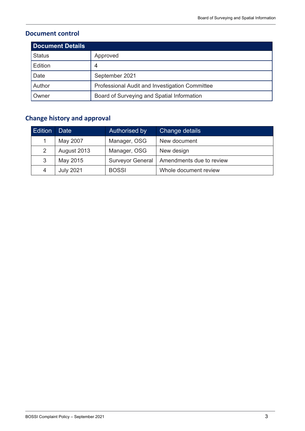## **Document control**

| <b>Document Details</b> |                                                |  |
|-------------------------|------------------------------------------------|--|
| <b>Status</b>           | Approved                                       |  |
| Edition                 | 4                                              |  |
| Date                    | September 2021                                 |  |
| Author                  | Professional Audit and Investigation Committee |  |
| Owner                   | Board of Surveying and Spatial Information     |  |

# **Change history and approval**

| <b>Edition</b> | Date             | Authorised by           | Change details           |
|----------------|------------------|-------------------------|--------------------------|
|                | May 2007         | Manager, OSG            | New document             |
| 2              | August 2013      | Manager, OSG            | New design               |
| 3              | May 2015         | <b>Surveyor General</b> | Amendments due to review |
| 4              | <b>July 2021</b> | <b>BOSSI</b>            | Whole document review    |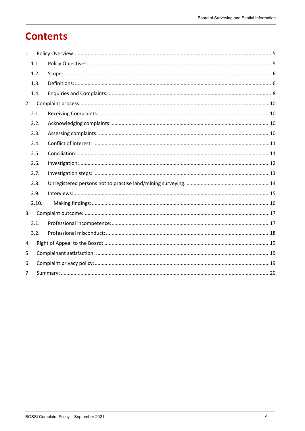# **Contents**

| 1. |       |  |  |  |
|----|-------|--|--|--|
|    | 1.1.  |  |  |  |
|    | 1.2.  |  |  |  |
|    | 1.3.  |  |  |  |
|    | 1.4.  |  |  |  |
| 2. |       |  |  |  |
|    | 2.1.  |  |  |  |
|    | 2.2.  |  |  |  |
|    | 2.3.  |  |  |  |
|    | 2.4.  |  |  |  |
|    | 2.5.  |  |  |  |
|    | 2.6.  |  |  |  |
|    | 2.7.  |  |  |  |
|    | 2.8.  |  |  |  |
|    | 2.9.  |  |  |  |
|    | 2.10. |  |  |  |
| 3. |       |  |  |  |
|    | 3.1.  |  |  |  |
|    | 3.2.  |  |  |  |
| 4. |       |  |  |  |
| 5. |       |  |  |  |
| 6. |       |  |  |  |
| 7. |       |  |  |  |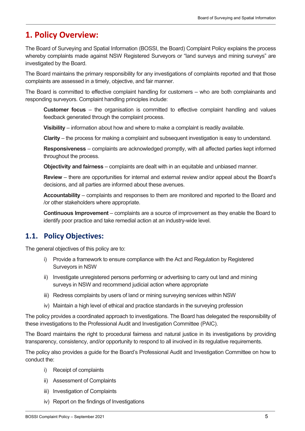# <span id="page-4-0"></span>**1. Policy Overview:**

The Board of Surveying and Spatial Information (BOSSI, the Board) Complaint Policy explains the process whereby complaints made against NSW Registered Surveyors or "land surveys and mining surveys" are investigated by the Board.

The Board maintains the primary responsibility for any investigations of complaints reported and that those complaints are assessed in a timely, objective, and fair manner.

The Board is committed to effective complaint handling for customers – who are both complainants and responding surveyors. Complaint handling principles include:

**Customer focus** – the organisation is committed to effective complaint handling and values feedback generated through the complaint process.

**Visibility** – information about how and where to make a complaint is readily available.

**Clarity** – the process for making a complaint and subsequent investigation is easy to understand.

**Responsiveness** – complaints are acknowledged promptly, with all affected parties kept informed throughout the process.

**Objectivity and fairness** – complaints are dealt with in an equitable and unbiased manner.

**Review** – there are opportunities for internal and external review and/or appeal about the Board's decisions, and all parties are informed about these avenues.

**Accountability** – complaints and responses to them are monitored and reported to the Board and /or other stakeholders where appropriate.

**Continuous Improvement** – complaints are a source of improvement as they enable the Board to identify poor practice and take remedial action at an industry-wide level.

### <span id="page-4-1"></span>**1.1. Policy Objectives:**

The general objectives of this policy are to:

- i) Provide a framework to ensure compliance with the Act and Regulation by Registered Surveyors in NSW
- ii) Investigate unregistered persons performing or advertising to carry out land and mining surveys in NSW and recommend judicial action where appropriate
- iii) Redress complaints by users of land or mining surveying services within NSW
- iv) Maintain a high level of ethical and practice standards in the surveying profession

The policy provides a coordinated approach to investigations. The Board has delegated the responsibility of these investigations to the Professional Audit and Investigation Committee (PAIC).

The Board maintains the right to procedural fairness and natural justice in its investigations by providing transparency, consistency, and/or opportunity to respond to all involved in its regulative requirements.

The policy also provides a guide for the Board's Professional Audit and Investigation Committee on how to conduct the:

- i) Receipt of complaints
- ii) Assessment of Complaints
- iii) Investigation of Complaints
- iv) Report on the findings of Investigations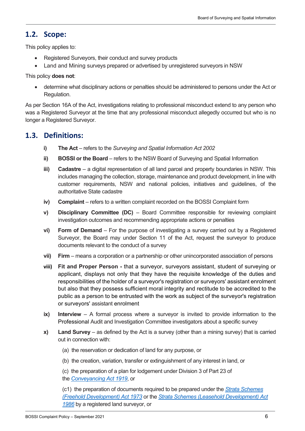### <span id="page-5-0"></span>**1.2. Scope:**

This policy applies to:

- Registered Surveyors, their conduct and survey products
- Land and Mining surveys prepared or advertised by unregistered surveyors in NSW

This policy **does not**:

• determine what disciplinary actions or penalties should be administered to persons under the Act or Regulation.

As per Section 16A of the Act, investigations relating to professional misconduct extend to any person who was a Registered Surveyor at the time that any professional misconduct allegedly occurred but who is no longer a Registered Surveyor.

### <span id="page-5-1"></span>**1.3. Definitions:**

- **i) The Act** refers to the *Surveying and Spatial Information Act 2002*
- **ii) BOSSI or the Board** refers to the NSW Board of Surveying and Spatial Information
- **iii) Cadastre** a digital representation of all land parcel and property boundaries in NSW. This includes managing the collection, storage, maintenance and product development, in line with customer requirements, NSW and national policies, initiatives and guidelines, of the authoritative State cadastre
- **iv) Complaint** refers to a written complaint recorded on the BOSSI Complaint form
- **v) Disciplinary Committee (DC)** Board Committee responsible for reviewing complaint investigation outcomes and recommending appropriate actions or penalties
- **vi) Form of Demand** For the purpose of investigating a survey carried out by a Registered Surveyor, the Board may under Section 11 of the Act, request the surveyor to produce documents relevant to the conduct of a survey
- **vii) Firm** means a corporation or a partnership or other unincorporated association of persons
- **viii) Fit and Proper Person -** that a surveyor, surveyors assistant, student of surveying or applicant, displays not only that they have the requisite knowledge of the duties and responsibilities of the holder of a surveyor's registration or surveyors' assistant enrolment but also that they possess sufficient moral integrity and rectitude to be accredited to the public as a person to be entrusted with the work as subject of the surveyor's registration or surveyors' assistant enrolment
- **ix) Interview** A formal process where a surveyor is invited to provide information to the Professional Audit and Investigation Committee investigators about a specific survey
- **x) Land Survey** as defined by the Act is a survey (other than a mining survey) that is carried out in connection with:
	- (a) the reservation or dedication of land for any purpose, or
	- (b) the creation, variation, transfer or extinguishment of any interest in land, or
	- (c) the preparation of a plan for lodgement under Division 3 of Part 23 of the *[Conveyancing Act 1919](https://www.legislation.nsw.gov.au/view/html/inforce/current/act-1919-006)*, or

(c1) the preparation of documents required to be prepared under the *[Strata Schemes](https://www.legislation.nsw.gov.au/view/html/repealed/current/act-1973-068) [\(Freehold Development\) Act 1973](https://www.legislation.nsw.gov.au/view/html/repealed/current/act-1973-068)* or the *[Strata Schemes \(Leasehold Development\) Act](https://www.legislation.nsw.gov.au/view/html/repealed/current/act-1986-219)  [1986](https://www.legislation.nsw.gov.au/view/html/repealed/current/act-1986-219)* by a registered land surveyor, or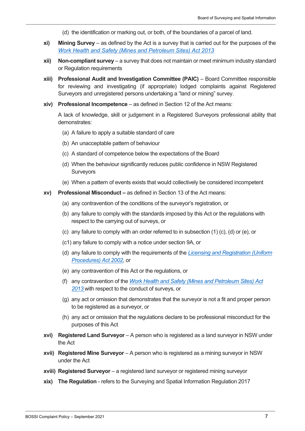- (d) the identification or marking out, or both, of the boundaries of a parcel of land.
- **xi) Mining Survey** as defined by the Act is a survey that is carried out for the purposes of the *[Work Health and Safety \(Mines and Petroleum Sites\) Act 2013](https://legislation.nsw.gov.au/view/html/inforce/current/act-2013-054)*
- **xii) Non-compliant survey** a survey that does not maintain or meet minimum industry standard or Regulation requirements
- **xiii) Professional Audit and Investigation Committee (PAIC)** Board Committee responsible for reviewing and investigating (if appropriate) lodged complaints against Registered Surveyors and unregistered persons undertaking a "land or mining" survey.
- **xiv) Professional Incompetence** as defined in Section 12 of the Act means:

A lack of knowledge, skill or judgement in a Registered Surveyors professional ability that demonstrates:

- (a) A failure to apply a suitable standard of care
- (b) An unacceptable pattern of behaviour
- (c) A standard of competence below the expectations of the Board
- (d) When the behaviour significantly reduces public confidence in NSW Registered **Surveyors**
- (e) When a pattern of events exists that would collectively be considered incompetent
- **xv) Professional Misconduct –** as defined in Section 13 of the Act means:
	- (a) any contravention of the conditions of the surveyor's registration, or
	- (b) any failure to comply with the standards imposed by this Act or the regulations with respect to the carrying out of surveys, or
	- (c) any failure to comply with an order referred to in subsection (1) (c), (d) or (e), or
	- (c1) any failure to comply with a notice under section 9A, or
	- (d) any failure to comply with the requirements of the *[Licensing and Registration \(Uniform](https://legislation.nsw.gov.au/view/html/inforce/current/act-2002-028/)  [Procedures\) Act 2002](https://legislation.nsw.gov.au/view/html/inforce/current/act-2002-028/)*, or
	- (e) any contravention of this Act or the regulations, or
	- (f) any contravention of the *Work Health and Safety (Mines and Petroleum Sites) Act 2013* with respect to the conduct of surveys, or
	- (g) any act or omission that demonstrates that the surveyor is not a fit and proper person to be registered as a surveyor, or
	- (h) any act or omission that the regulations declare to be professional misconduct for the purposes of this Act
- **xvi) Registered Land Surveyor** A person who is registered as a land surveyor in NSW under the Act
- **xvii) Registered Mine Surveyor** A person who is registered as a mining surveyor in NSW under the Act
- **xviii) Registered Surveyor** a registered land surveyor or registered mining surveyor
- **xix) The Regulation** refers to the Surveying and Spatial Information Regulation 2017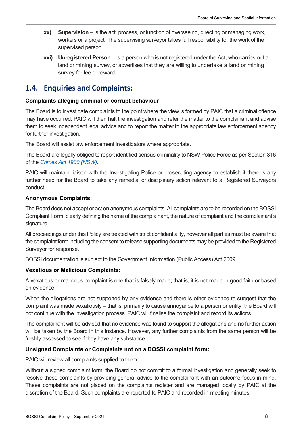- **xx) Supervision** is the act, process, or function of overseeing, directing or managing work, workers or a project. The supervising surveyor takes full responsibility for the work of the supervised person
- **xxi) Unregistered Person** is a person who is not registered under the Act, who carries out a land or mining survey, or advertises that they are willing to undertake a land or mining survey for fee or reward

# <span id="page-7-0"></span>**1.4. Enquiries and Complaints:**

#### **Complaints alleging criminal or corrupt behaviour:**

The Board is to investigate complaints to the point where the view is formed by PAIC that a criminal offence may have occurred. PAIC will then halt the investigation and refer the matter to the complainant and advise them to seek independent legal advice and to report the matter to the appropriate law enforcement agency for further investigation.

The Board will assist law enforcement investigators where appropriate.

The Board are legally obliged to report identified serious criminality to NSW Police Force as per Section 316 of the *[Crimes Act 1900 \(NSW\)](https://legislation.nsw.gov.au/view/whole/html/inforce/current/act-1900-040)*.

PAIC will maintain liaison with the Investigating Police or prosecuting agency to establish if there is any further need for the Board to take any remedial or disciplinary action relevant to a Registered Surveyors conduct.

#### **Anonymous Complaints:**

The Board does not accept or act on anonymous complaints. All complaints are to be recorded on the BOSSI Complaint Form, clearly defining the name of the complainant, the nature of complaint and the complainant's signature.

All proceedings under this Policy are treated with strict confidentiality, however all parties must be aware that the complaint form including the consent to release supporting documents may be provided to the Registered Surveyor for response.

BOSSI documentation is subject to the Government Information (Public Access) Act 2009.

#### **Vexatious or Malicious Complaints:**

A vexatious or malicious complaint is one that is falsely made; that is, it is not made in good faith or based on evidence.

When the allegations are not supported by any evidence and there is other evidence to suggest that the complaint was made vexatiously – that is, primarily to cause annoyance to a person or entity, the Board will not continue with the investigation process. PAIC will finalise the complaint and record its actions.

The complainant will be advised that no evidence was found to support the allegations and no further action will be taken by the Board in this instance. However, any further complaints from the same person will be freshly assessed to see if they have any substance.

#### **Unsigned Complaints or Complaints not on a BOSSI complaint form:**

PAIC will review all complaints supplied to them.

Without a signed complaint form, the Board do not commit to a formal investigation and generally seek to resolve these complaints by providing general advice to the complainant with an outcome focus in mind. These complaints are not placed on the complaints register and are managed locally by PAIC at the discretion of the Board. Such complaints are reported to PAIC and recorded in meeting minutes.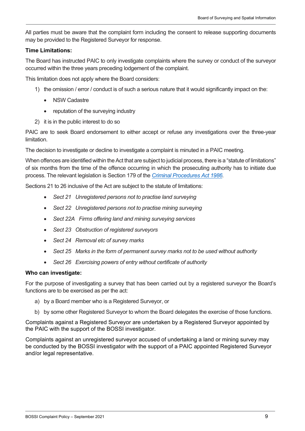All parties must be aware that the complaint form including the consent to release supporting documents may be provided to the Registered Surveyor for response.

#### **Time Limitations:**

The Board has instructed PAIC to only investigate complaints where the survey or conduct of the surveyor occurred within the three years preceding lodgement of the complaint.

This limitation does not apply where the Board considers:

- 1) the omission / error / conduct is of such a serious nature that it would significantly impact on the:
	- **NSW Cadastre**
	- reputation of the surveying industry
- 2) it is in the public interest to do so

PAIC are to seek Board endorsement to either accept or refuse any investigations over the three-year limitation.

The decision to investigate or decline to investigate a complaint is minuted in a PAIC meeting.

When offences are identified within the Act that are subject to judicial process, there is a "statute of limitations" of six months from the time of the offence occurring in which the prosecuting authority has to initiate due process. The relevant legislation is Section 179 of the *[Criminal Procedures Act 1986.](https://legislation.nsw.gov.au/view/html/inforce/current/act-1986-209)*

Sections 21 to 26 inclusive of the Act are subject to the statute of limitations:

- *Sect 21 Unregistered persons not to practise land surveying*
- *Sect 22 Unregistered persons not to practise mining surveying*
- *Sect 22A Firms offering land and mining surveying services*
- *Sect 23 Obstruction of registered surveyors*
- *Sect 24 Removal etc of survey marks*
- *Sect 25 Marks in the form of permanent survey marks not to be used without authority*
- *Sect 26 Exercising powers of entry without certificate of authority*

#### **Who can investigate:**

For the purpose of investigating a survey that has been carried out by a registered surveyor the Board's functions are to be exercised as per the act:

- a) by a Board member who is a Registered Surveyor, or
- b) by some other Registered Surveyor to whom the Board delegates the exercise of those functions.

Complaints against a Registered Surveyor are undertaken by a Registered Surveyor appointed by the PAIC with the support of the BOSSI investigator.

Complaints against an unregistered surveyor accused of undertaking a land or mining survey may be conducted by the BOSSI investigator with the support of a PAIC appointed Registered Surveyor and/or legal representative.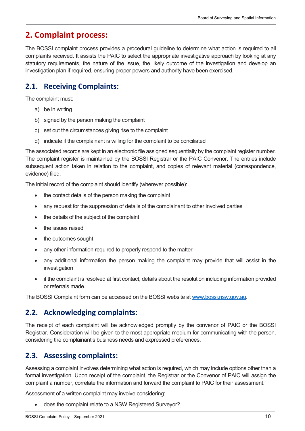# <span id="page-9-0"></span>**2. Complaint process:**

The BOSSI complaint process provides a procedural guideline to determine what action is required to all complaints received. It assists the PAIC to select the appropriate investigative approach by looking at any statutory requirements, the nature of the issue, the likely outcome of the investigation and develop an investigation plan if required, ensuring proper powers and authority have been exercised.

# <span id="page-9-1"></span>**2.1. Receiving Complaints:**

The complaint must:

- a) be in writing
- b) signed by the person making the complaint
- c) set out the circumstances giving rise to the complaint
- d) indicate if the complainant is willing for the complaint to be conciliated

The associated records are kept in an electronic file assigned sequentially by the complaint register number. The complaint register is maintained by the BOSSI Registrar or the PAIC Convenor. The entries include subsequent action taken in relation to the complaint, and copies of relevant material (correspondence, evidence) filed.

The initial record of the complaint should identify (wherever possible):

- the contact details of the person making the complaint
- any request for the suppression of details of the complainant to other involved parties
- the details of the subject of the complaint
- the issues raised
- the outcomes sought
- any other information required to properly respond to the matter
- any additional information the person making the complaint may provide that will assist in the investigation
- if the complaint is resolved at first contact, details about the resolution including information provided or referrals made.

The BOSSI Complaint form can be accessed on the BOSSI website at [www.bossi.nsw.gov.au.](http://www.bossi.nsw.gov.au/)

# <span id="page-9-2"></span>**2.2. Acknowledging complaints:**

The receipt of each complaint will be acknowledged promptly by the convenor of PAIC or the BOSSI Registrar. Consideration will be given to the most appropriate medium for communicating with the person, considering the complainant's business needs and expressed preferences.

# <span id="page-9-3"></span>**2.3. Assessing complaints:**

Assessing a complaint involves determining what action is required, which may include options other than a formal investigation. Upon receipt of the complaint, the Registrar or the Convenor of PAIC will assign the complaint a number, correlate the information and forward the complaint to PAIC for their assessment.

Assessment of a written complaint may involve considering:

• does the complaint relate to a NSW Registered Surveyor?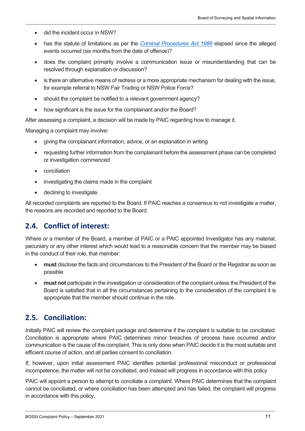- did the incident occur in NSW?
- has the statute of limitations as per the *[Criminal Procedures Act 1986](https://legislation.nsw.gov.au/view/html/inforce/current/act-1986-209)* elapsed since the alleged events occurred (six months from the date of offence)?
- does the complaint primarily involve a communication issue or misunderstanding that can be resolved through explanation or discussion?
- is there an alternative means of redress or a more appropriate mechanism for dealing with the issue, for example referral to NSW Fair Trading or NSW Police Force?
- should the complaint be notified to a relevant government agency?
- how significant is the issue for the complainant and/or the Board?

After assessing a complaint, a decision will be made by PAIC regarding how to manage it.

Managing a complaint may involve:

- giving the complainant information, advice, or an explanation in writing
- requesting further information from the complainant before the assessment phase can be completed or investigation commenced
- conciliation
- investigating the claims made in the complaint
- declining to investigate.

All recorded complaints are reported to the Board. If PAIC reaches a consensus to not investigate a matter, the reasons are recorded and reported to the Board.

### <span id="page-10-0"></span>**2.4. Conflict of interest:**

Where or a member of the Board, a member of PAIC or a PAIC appointed Investigator has any material, pecuniary or any other interest which would lead to a reasonable concern that the member may be biased in the conduct of their role, that member:

- **must** disclose the facts and circumstances to the President of the Board or the Registrar as soon as possible
- **must not** participate in the investigation or consideration of the complaint unless the President of the Board is satisfied that in all the circumstances pertaining to the consideration of the complaint it is appropriate that the member should continue in the role.

### <span id="page-10-1"></span>**2.5. Conciliation:**

Initially PAIC will review the complaint package and determine if the complaint is suitable to be conciliated. Conciliation is appropriate where PAIC determines minor breaches of process have occurred and/or communication is the cause of the complaint. This is only done when PAIC decide it is the most suitable and efficient course of action, and all parties consent to conciliation.

If, however, upon initial assessment PAIC identifies potential professional misconduct or professional incompetence, the matter will not be conciliated, and instead will progress in accordance with this policy

PAIC will appoint a person to attempt to conciliate a complaint. Where PAIC determines that the complaint cannot be conciliated, or where conciliation has been attempted and has failed, the complaint will progress in accordance with this policy.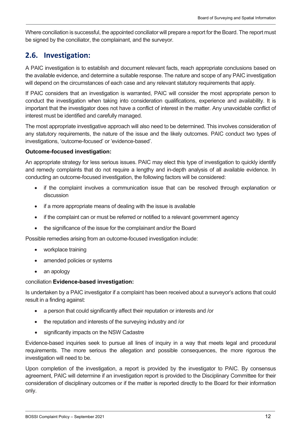Where conciliation is successful, the appointed conciliator will prepare a report for the Board. The report must be signed by the conciliator, the complainant, and the surveyor.

# <span id="page-11-0"></span>**2.6. Investigation:**

A PAIC investigation is to establish and document relevant facts, reach appropriate conclusions based on the available evidence, and determine a suitable response. The nature and scope of any PAIC investigation will depend on the circumstances of each case and any relevant statutory requirements that apply.

If PAIC considers that an investigation is warranted, PAIC will consider the most appropriate person to conduct the investigation when taking into consideration qualifications, experience and availability. It is important that the investigator does not have a conflict of interest in the matter. Any unavoidable conflict of interest must be identified and carefully managed.

The most appropriate investigative approach will also need to be determined. This involves consideration of any statutory requirements, the nature of the issue and the likely outcomes. PAIC conduct two types of investigations, 'outcome-focused' or 'evidence-based'.

#### **Outcome-focused investigation:**

An appropriate strategy for less serious issues. PAIC may elect this type of investigation to quickly identify and remedy complaints that do not require a lengthy and in-depth analysis of all available evidence. In conducting an outcome-focused investigation, the following factors will be considered:

- if the complaint involves a communication issue that can be resolved through explanation or discussion
- if a more appropriate means of dealing with the issue is available
- if the complaint can or must be referred or notified to a relevant government agency
- the significance of the issue for the complainant and/or the Board

Possible remedies arising from an outcome-focused investigation include:

- workplace training
- amended policies or systems
- an apology

#### conciliation **Evidence-based investigation:**

Is undertaken by a PAIC investigator if a complaint has been received about a surveyor's actions that could result in a finding against:

- a person that could significantly affect their reputation or interests and /or
- the reputation and interests of the surveying industry and /or
- significantly impacts on the NSW Cadastre

Evidence-based inquiries seek to pursue all lines of inquiry in a way that meets legal and procedural requirements. The more serious the allegation and possible consequences, the more rigorous the investigation will need to be.

Upon completion of the investigation, a report is provided by the investigator to PAIC. By consensus agreement, PAIC will determine if an investigation report is provided to the Disciplinary Committee for their consideration of disciplinary outcomes or if the matter is reported directly to the Board for their information only.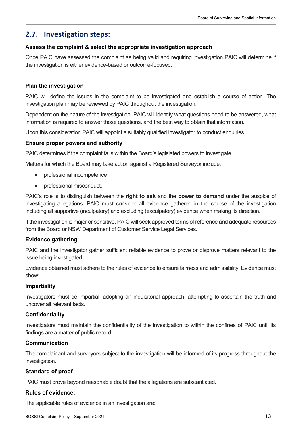### <span id="page-12-0"></span>**2.7. Investigation steps:**

#### **Assess the complaint & select the appropriate investigation approach**

Once PAIC have assessed the complaint as being valid and requiring investigation PAIC will determine if the investigation is either evidence-based or outcome-focused.

#### **Plan the investigation**

PAIC will define the issues in the complaint to be investigated and establish a course of action. The investigation plan may be reviewed by PAIC throughout the investigation.

Dependent on the nature of the investigation, PAIC will identify what questions need to be answered, what information is required to answer those questions, and the best way to obtain that information.

Upon this consideration PAIC will appoint a suitably qualified investigator to conduct enquiries.

#### **Ensure proper powers and authority**

PAIC determines if the complaint falls within the Board's legislated powers to investigate.

Matters for which the Board may take action against a Registered Surveyor include:

- professional incompetence
- professional misconduct.

PAIC's role is to distinguish between the **right to ask** and the **power to demand** under the auspice of investigating allegations. PAIC must consider all evidence gathered in the course of the investigation including all supportive (inculpatory) and excluding (exculpatory) evidence when making its direction.

If the investigation is major or sensitive, PAIC will seek approved terms of reference and adequate resources from the Board or NSW Department of Customer Service Legal Services.

#### **Evidence gathering**

PAIC and the investigator gather sufficient reliable evidence to prove or disprove matters relevant to the issue being investigated.

Evidence obtained must adhere to the rules of evidence to ensure fairness and admissibility. Evidence must show:

#### **Impartiality**

Investigators must be impartial, adopting an inquisitorial approach, attempting to ascertain the truth and uncover all relevant facts.

#### **Confidentiality**

Investigators must maintain the confidentiality of the investigation to within the confines of PAIC until its findings are a matter of public record.

#### **Communication**

The complainant and surveyors subject to the investigation will be informed of its progress throughout the investigation.

#### **Standard of proof**

PAIC must prove beyond reasonable doubt that the allegations are substantiated.

#### **Rules of evidence:**

The applicable rules of evidence in an investigation are: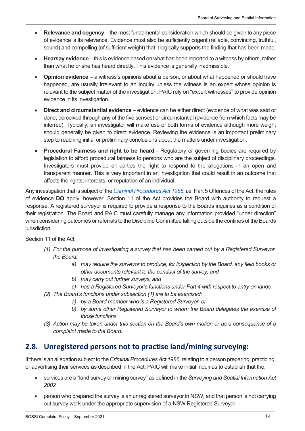- **Relevance and cogency** the most fundamental consideration which should be given to any piece of evidence is its relevance. Evidence must also be sufficiently cogent (reliable, convincing, truthful, sound) and compelling (of sufficient weight) that it logically supports the finding that has been made.
- **Hearsay evidence** this is evidence based on what has been reported to a witness by others, rather than what he or she has heard directly. This evidence is generally inadmissible.
- **Opinion evidence** a witness's opinions about a person, or about what happened or should have happened, are usually irrelevant to an inquiry unless the witness is an expert whose opinion is relevant to the subject matter of the investigation. PAIC rely on "expert witnesses" to provide opinion evidence in its investigation.
- **Direct and circumstantial evidence**  evidence can be either direct (evidence of what was said or done, perceived through any of the five senses) or circumstantial (evidence from which facts may be inferred). Typically, an investigator will make use of both forms of evidence although more weight should generally be given to direct evidence. Reviewing the evidence is an important preliminary step to reaching initial or preliminary conclusions about the matters under investigation.
- **Procedural Fairness and right to be heard** Regulatory or governing bodies are required by legislation to afford procedural fairness to persons who are the subject of disciplinary proceedings. Investigators must provide all parties the right to respond to the allegations in an open and transparent manner. This is very important in an investigation that could result in an outcome that affects the rights, interests, or reputation of an individual.

Any investigation that is subject of the *[Criminal Procedures Act 1986](https://legislation.nsw.gov.au/view/html/inforce/current/act-1986-209)*, i.e. Part 5 Offences of the Act, the rules of evidence **DO** apply, however, Section 11 of the Act provides the Board with authority to request a response. A registered surveyor is required to provide a response to the Boards inquiries as a condition of their registration. The Board and PAIC must carefully manage any information provided "under direction" when considering outcomes or referrals to the Discipline Committee falling outside the confines of the Boards jurisdiction.

Section 11 of the Act:

- *(1) For the purpose of investigating a survey that has been carried out by a Registered Surveyor, the Board:*
	- *a) may require the surveyor to produce, for inspection by the Board, any field books or other documents relevant to the conduct of the survey, and*
	- *b) may carry out further surveys, and*
	- *c) has a Registered Surveyor's functions under Part 4 with respect to entry on lands.*
- *(2) The Board's functions under subsection (1) are to be exercised:*
	- *a) by a Board member who is a Registered Surveyor, or*
	- *b) by some other Registered Surveyor to whom the Board delegates the exercise of those functions.*
- *(3) Action may be taken under this section on the Board's own motion or as a consequence of a complaint made to the Board.*

### <span id="page-13-0"></span>**2.8. Unregistered persons not to practise land/mining surveying:**

If there is an allegation subject to the *Criminal Procedures Act 1986*, relating to a person preparing, practicing, or advertising their services as described in the Act, PAIC will make initial inquiries to establish that the:

- services are a "land survey or mining survey" as defined in the *Surveying and Spatial Information Act 2002*
- person who prepared the survey is an unregistered surveyor in NSW, and that person is not carrying out survey work under the appropriate supervision of a NSW Registered Surveyor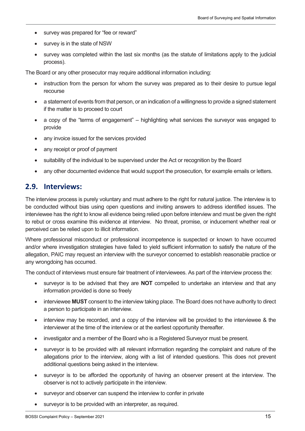- survey was prepared for "fee or reward"
- survey is in the state of NSW
- survey was completed within the last six months (as the statute of limitations apply to the judicial process).

The Board or any other prosecutor may require additional information including:

- instruction from the person for whom the survey was prepared as to their desire to pursue legal recourse
- a statement of events from that person, or an indication of a willingness to provide a signed statement if the matter is to proceed to court
- a copy of the "terms of engagement" highlighting what services the surveyor was engaged to provide
- any invoice issued for the services provided
- any receipt or proof of payment
- suitability of the individual to be supervised under the Act or recognition by the Board
- any other documented evidence that would support the prosecution, for example emails or letters.

### <span id="page-14-0"></span>**2.9. Interviews:**

The interview process is purely voluntary and must adhere to the right for natural justice. The interview is to be conducted without bias using open questions and inviting answers to address identified issues. The interviewee has the right to know all evidence being relied upon before interview and must be given the right to rebut or cross examine this evidence at interview. No threat, promise, or inducement whether real or perceived can be relied upon to illicit information.

Where professional misconduct or professional incompetence is suspected or known to have occurred and/or where investigation strategies have failed to yield sufficient information to satisfy the nature of the allegation, PAIC may request an interview with the surveyor concerned to establish reasonable practice or any wrongdoing has occurred.

The conduct of interviews must ensure fair treatment of interviewees. As part of the interview process the:

- surveyor is to be advised that they are **NOT** compelled to undertake an interview and that any information provided is done so freely
- interviewee **MUST** consent to the interview taking place. The Board does not have authority to direct a person to participate in an interview.
- interview may be recorded, and a copy of the interview will be provided to the interviewee & the interviewer at the time of the interview or at the earliest opportunity thereafter.
- investigator and a member of the Board who is a Registered Surveyor must be present.
- surveyor is to be provided with all relevant information regarding the complaint and nature of the allegations prior to the interview, along with a list of intended questions. This does not prevent additional questions being asked in the interview.
- surveyor is to be afforded the opportunity of having an observer present at the interview. The observer is not to actively participate in the interview.
- surveyor and observer can suspend the interview to confer in private
- surveyor is to be provided with an interpreter, as required.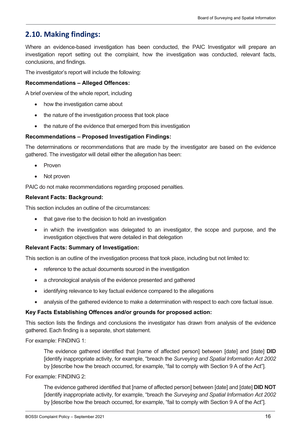# <span id="page-15-0"></span>**2.10. Making findings:**

Where an evidence-based investigation has been conducted, the PAIC Investigator will prepare an investigation report setting out the complaint, how the investigation was conducted, relevant facts, conclusions, and findings.

The investigator's report will include the following:

#### **Recommendations – Alleged Offences:**

A brief overview of the whole report, including

- how the investigation came about
- the nature of the investigation process that took place
- the nature of the evidence that emerged from this investigation

#### **Recommendations – Proposed Investigation Findings:**

The determinations or recommendations that are made by the investigator are based on the evidence gathered. The investigator will detail either the allegation has been:

- **Proven**
- Not proven

PAIC do not make recommendations regarding proposed penalties.

#### **Relevant Facts: Background:**

This section includes an outline of the circumstances:

- that gave rise to the decision to hold an investigation
- in which the investigation was delegated to an investigator, the scope and purpose, and the investigation objectives that were detailed in that delegation

#### **Relevant Facts: Summary of Investigation:**

This section is an outline of the investigation process that took place, including but not limited to:

- reference to the actual documents sourced in the investigation
- a chronological analysis of the evidence presented and gathered
- identifying relevance to key factual evidence compared to the allegations
- analysis of the gathered evidence to make a determination with respect to each core factual issue.

#### **Key Facts Establishing Offences and/or grounds for proposed action:**

This section lists the findings and conclusions the investigator has drawn from analysis of the evidence gathered. Each finding is a separate, short statement.

For example: FINDING 1:

The evidence gathered identified that [name of affected person] between [date] and [date] **DID** [identify inappropriate activity, for example, "breach the *Surveying and Spatial Information Act 2002* by [describe how the breach occurred, for example, "fail to comply with Section 9 A of the Act"].

For example: FINDING 2:

The evidence gathered identified that [name of affected person] between [date] and [date] **DID NOT** [identify inappropriate activity, for example, "breach the *Surveying and Spatial Information Act 2002* by [describe how the breach occurred, for example, "fail to comply with Section 9 A of the Act"].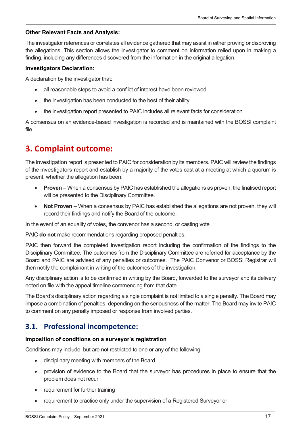#### **Other Relevant Facts and Analysis:**

The investigator references or correlates all evidence gathered that may assist in either proving or disproving the allegations. This section allows the investigator to comment on information relied upon in making a finding, including any differences discovered from the information in the original allegation.

#### **Investigators Declaration:**

A declaration by the investigator that:

- all reasonable steps to avoid a conflict of interest have been reviewed
- the investigation has been conducted to the best of their ability
- the investigation report presented to PAIC includes all relevant facts for consideration

A consensus on an evidence-based investigation is recorded and is maintained with the BOSSI complaint file.

# <span id="page-16-0"></span>**3. Complaint outcome:**

The investigation report is presented to PAIC for consideration by its members. PAIC will review the findings of the investigators report and establish by a majority of the votes cast at a meeting at which a quorum is present, whether the allegation has been:

- **Proven** When a consensus by PAIC has established the allegations as proven, the finalised report will be presented to the Disciplinary Committee.
- **Not Proven** When a consensus by PAIC has established the allegations are not proven, they will record their findings and notify the Board of the outcome.

In the event of an equality of votes, the convenor has a second, or casting vote

PAIC **do not** make recommendations regarding proposed penalties.

PAIC then forward the completed investigation report including the confirmation of the findings to the Disciplinary Committee. The outcomes from the Disciplinary Committee are referred for acceptance by the Board and PAIC are advised of any penalties or outcomes. The PAIC Convenor or BOSSI Registrar will then notify the complainant in writing of the outcomes of the investigation.

Any disciplinary action is to be confirmed in writing by the Board, forwarded to the surveyor and its delivery noted on file with the appeal timeline commencing from that date.

The Board's disciplinary action regarding a single complaint is not limited to a single penalty. The Board may impose a combination of penalties, depending on the seriousness of the matter. The Board may invite PAIC to comment on any penalty imposed or response from involved parties.

### <span id="page-16-1"></span>**3.1. Professional incompetence:**

#### **Imposition of conditions on a surveyor's registration**

Conditions may include, but are not restricted to one or any of the following:

- disciplinary meeting with members of the Board
- provision of evidence to the Board that the surveyor has procedures in place to ensure that the problem does not recur
- requirement for further training
- requirement to practice only under the supervision of a Registered Surveyor or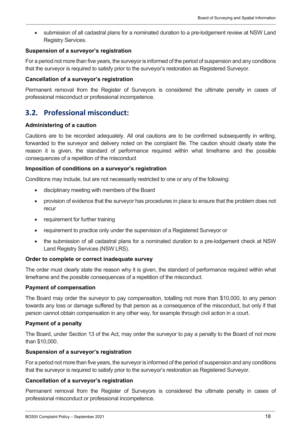• submission of all cadastral plans for a nominated duration to a pre-lodgement review at NSW Land Registry Services.

#### **Suspension of a surveyor's registration**

For a period not more than five years, the surveyor is informed of the period of suspension and any conditions that the surveyor is required to satisfy prior to the surveyor's restoration as Registered Surveyor.

#### **Cancellation of a surveyor's registration**

Permanent removal from the Register of Surveyors is considered the ultimate penalty in cases of professional misconduct or professional incompetence.

# <span id="page-17-0"></span>**3.2. Professional misconduct:**

#### **Administering of a caution**

Cautions are to be recorded adequately. All oral cautions are to be confirmed subsequently in writing, forwarded to the surveyor and delivery noted on the complaint file. The caution should clearly state the reason it is given, the standard of performance required within what timeframe and the possible consequences of a repetition of the misconduct

#### **Imposition of conditions on a surveyor's registration**

Conditions may include, but are not necessarily restricted to one or any of the following:

- disciplinary meeting with members of the Board
- provision of evidence that the surveyor has procedures in place to ensure that the problem does not recur
- requirement for further training
- requirement to practice only under the supervision of a Registered Surveyor or
- the submission of all cadastral plans for a nominated duration to a pre-lodgement check at NSW Land Registry Services (NSW LRS).

#### **Order to complete or correct inadequate survey**

The order must clearly state the reason why it is given, the standard of performance required within what timeframe and the possible consequences of a repetition of the misconduct.

#### **Payment of compensation**

The Board may order the surveyor to pay compensation, totalling not more than \$10,000, to any person towards any loss or damage suffered by that person as a consequence of the misconduct, but only if that person cannot obtain compensation in any other way, for example through civil action in a court.

#### **Payment of a penalty**

The Board, under Section 13 of the Act, may order the surveyor to pay a penalty to the Board of not more than \$10,000.

#### **Suspension of a surveyor's registration**

For a period not more than five years, the surveyor is informed of the period of suspension and any conditions that the surveyor is required to satisfy prior to the surveyor's restoration as Registered Surveyor.

#### **Cancellation of a surveyor's registration**

Permanent removal from the Register of Surveyors is considered the ultimate penalty in cases of professional misconduct or professional incompetence.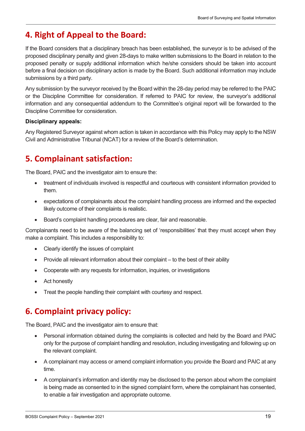# <span id="page-18-0"></span>**4. Right of Appeal to the Board:**

If the Board considers that a disciplinary breach has been established, the surveyor is to be advised of the proposed disciplinary penalty and given 28-days to make written submissions to the Board in relation to the proposed penalty or supply additional information which he/she considers should be taken into account before a final decision on disciplinary action is made by the Board. Such additional information may include submissions by a third party.

Any submission by the surveyor received by the Board within the 28-day period may be referred to the PAIC or the Discipline Committee for consideration. If referred to PAIC for review, the surveyor's additional information and any consequential addendum to the Committee's original report will be forwarded to the Discipline Committee for consideration.

#### **Disciplinary appeals:**

Any Registered Surveyor against whom action is taken in accordance with this Policy may apply to the NSW Civil and Administrative Tribunal (NCAT) for a review of the Board's determination.

# <span id="page-18-1"></span>**5. Complainant satisfaction:**

The Board, PAIC and the investigator aim to ensure the:

- treatment of individuals involved is respectful and courteous with consistent information provided to them.
- expectations of complainants about the complaint handling process are informed and the expected likely outcome of their complaints is realistic.
- Board's complaint handling procedures are clear, fair and reasonable.

Complainants need to be aware of the balancing set of 'responsibilities' that they must accept when they make a complaint. This includes a responsibility to:

- Clearly identify the issues of complaint
- Provide all relevant information about their complaint to the best of their ability
- Cooperate with any requests for information, inquiries, or investigations
- Act honestly
- Treat the people handling their complaint with courtesy and respect.

# <span id="page-18-2"></span>**6. Complaint privacy policy:**

The Board, PAIC and the investigator aim to ensure that:

- Personal information obtained during the complaints is collected and held by the Board and PAIC only for the purpose of complaint handling and resolution, including investigating and following up on the relevant complaint.
- A complainant may access or amend complaint information you provide the Board and PAIC at any time.
- A complainant's information and identity may be disclosed to the person about whom the complaint is being made as consented to in the signed complaint form, where the complainant has consented, to enable a fair investigation and appropriate outcome.